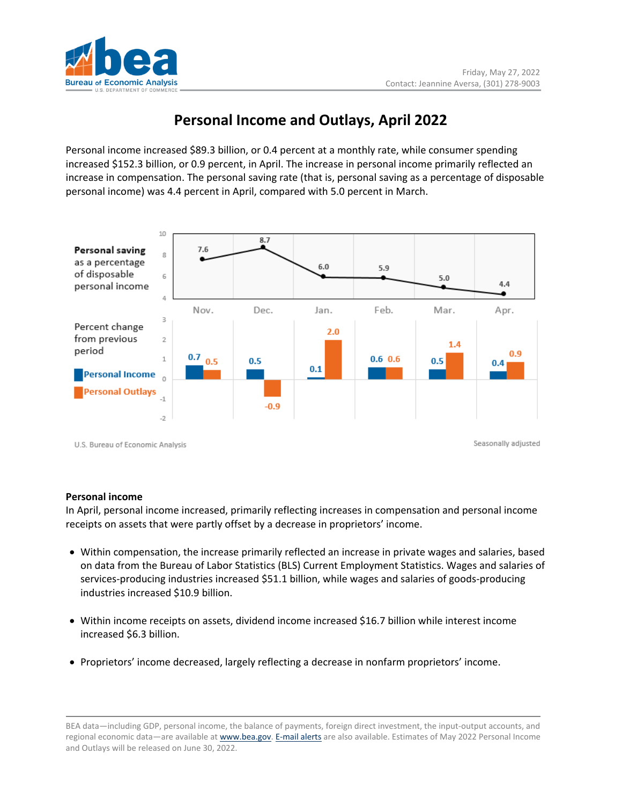

# **Personal Income and Outlays, April 2022**

Personal income increased \$89.3 billion, or 0.4 percent at a monthly rate, while consumer spending increased \$152.3 billion, or 0.9 percent, in April. The increase in personal income primarily reflected an increase in compensation. The personal saving rate (that is, personal saving as a percentage of disposable personal income) was 4.4 percent in April, compared with 5.0 percent in March.



## **Personal income**

In April, personal income increased, primarily reflecting increases in compensation and personal income receipts on assets that were partly offset by a decrease in proprietors' income.

- Within compensation, the increase primarily reflected an increase in private wages and salaries, based on data from the Bureau of Labor Statistics (BLS) Current Employment Statistics. Wages and salaries of services-producing industries increased \$51.1 billion, while wages and salaries of goods-producing industries increased \$10.9 billion.
- Within income receipts on assets, dividend income increased \$16.7 billion while interest income increased \$6.3 billion.
- Proprietors' income decreased, largely reflecting a decrease in nonfarm proprietors' income.

BEA data—including GDP, personal income, the balance of payments, foreign direct investment, the input-output accounts, and regional economic data—are available at [www.bea.gov.](http://www.bea.gov/) [E-mail](https://www.bea.gov/_subscribe) alerts are also available. Estimates of May 2022 Personal Income and Outlays will be released on June 30, 2022.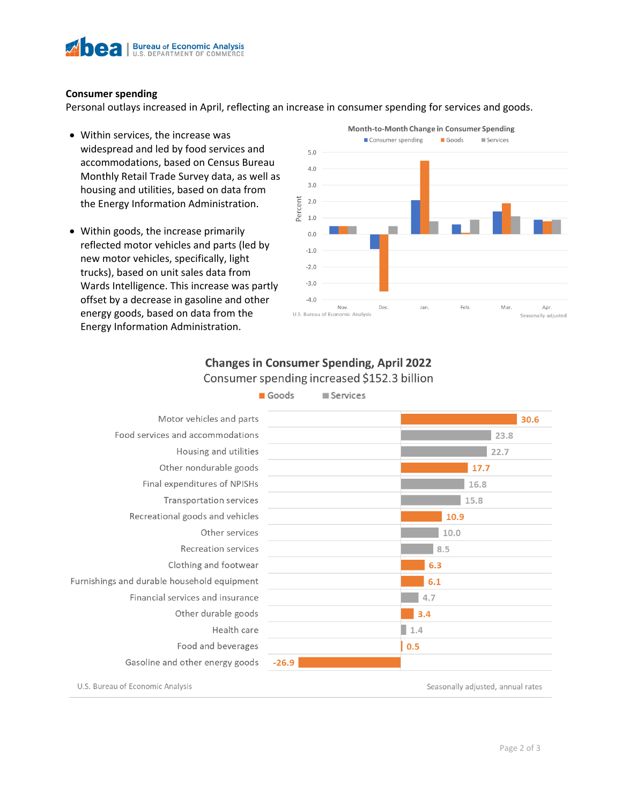

#### **Consumer spending**

Personal outlays increased in April, reflecting an increase in consumer spending for services and goods.

- Within services, the increase was widespread and led by food services and accommodations, based on Census Bureau Monthly Retail Trade Survey data, as well as housing and utilities, based on data from the Energy Information Administration.
- Within goods, the increase primarily reflected motor vehicles and parts (led by new motor vehicles, specifically, light trucks), based on unit sales data from Wards Intelligence. This increase was partly offset by a decrease in gasoline and other energy goods, based on data from the Energy Information Administration.



# **Changes in Consumer Spending, April 2022** Consumer spending increased \$152.3 billion



U.S. Bureau of Economic Analysis

Seasonally adjusted, annual rates